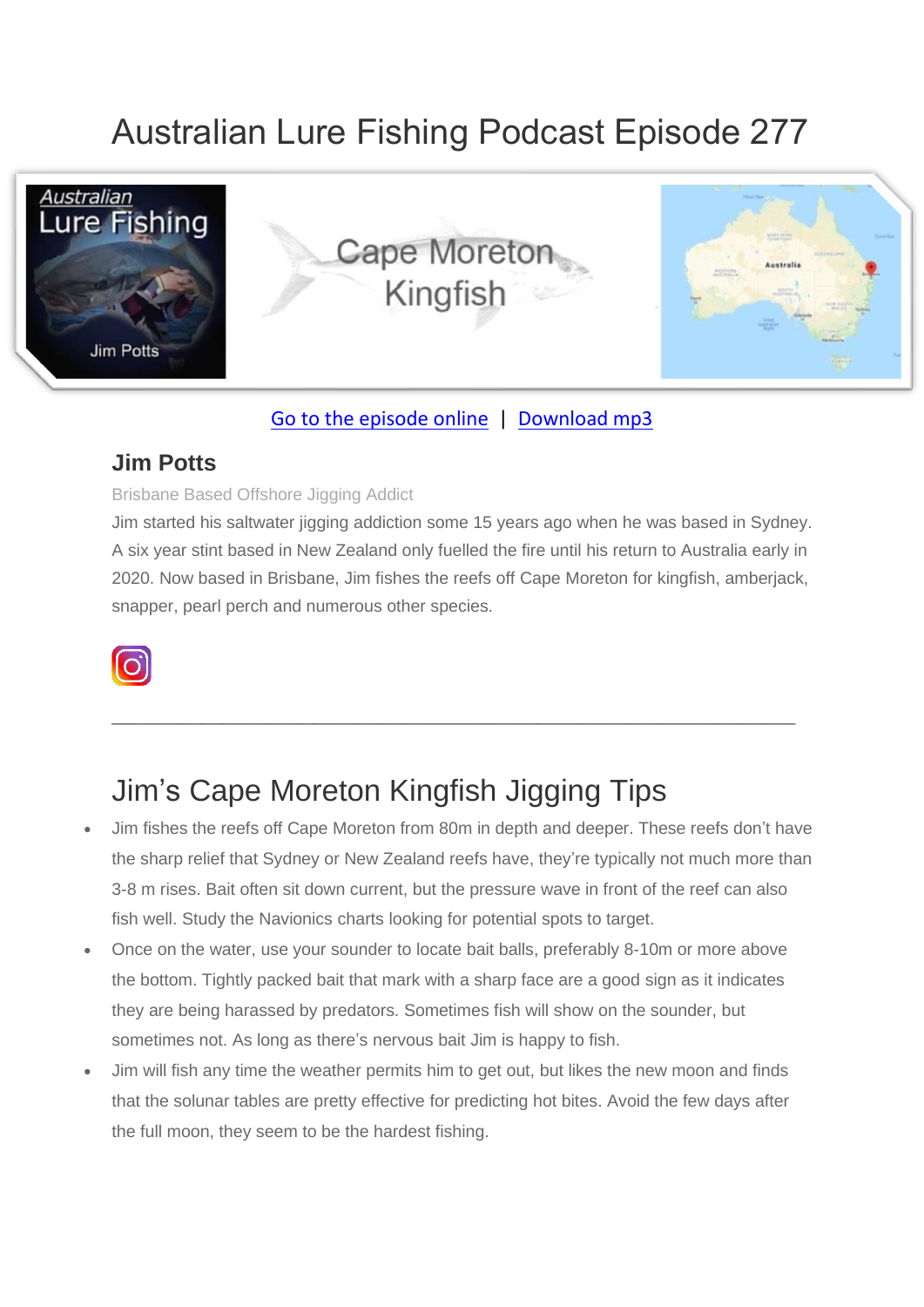# Australian Lure Fishing Podcast Episode 277



### [Go to the episode online](https://doclures.com/cape-moreton-kingfish-jim-potts/) | [Download mp3](https://traffic.libsyn.com/secure/doclures/cape-moreton-kingfish-jim-potts.mp3)

### **Jim Potts**

#### Brisbane Based Offshore Jigging Addict

Jim started his saltwater jigging addiction some 15 years ago when he was based in Sydney. A six year stint based in New Zealand only fuelled the fire until his return to Australia early in 2020. Now based in Brisbane, Jim fishes the reefs off Cape Moreton for kingfish, amberjack, snapper, pearl perch and numerous other species.



### Jim's Cape Moreton Kingfish Jigging Tips

• Jim fishes the reefs off Cape Moreton from 80m in depth and deeper. These reefs don't have the sharp relief that Sydney or New Zealand reefs have, they're typically not much more than 3-8 m rises. Bait often sit down current, but the pressure wave in front of the reef can also fish well. Study the Navionics charts looking for potential spots to target.

 $\_$  , and the set of the set of the set of the set of the set of the set of the set of the set of the set of the set of the set of the set of the set of the set of the set of the set of the set of the set of the set of th

- Once on the water, use your sounder to locate bait balls, preferably 8-10m or more above the bottom. Tightly packed bait that mark with a sharp face are a good sign as it indicates they are being harassed by predators. Sometimes fish will show on the sounder, but sometimes not. As long as there's nervous bait Jim is happy to fish.
- Jim will fish any time the weather permits him to get out, but likes the new moon and finds that the solunar tables are pretty effective for predicting hot bites. Avoid the few days after the full moon, they seem to be the hardest fishing.